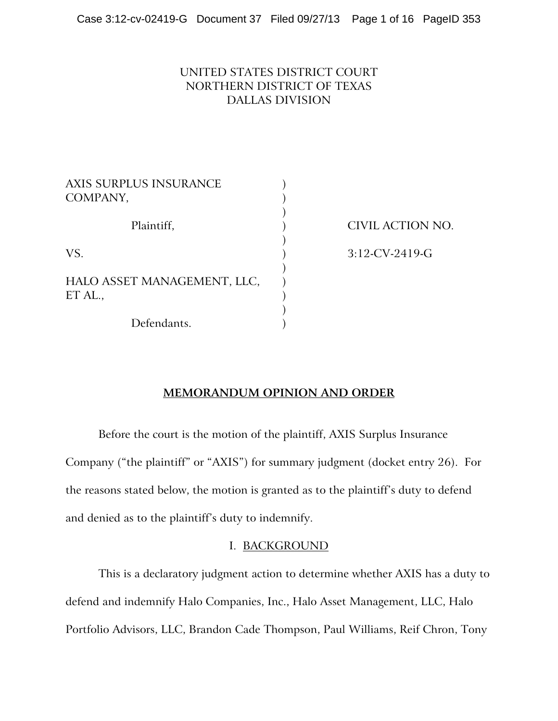## UNITED STATES DISTRICT COURT NORTHERN DISTRICT OF TEXAS DALLAS DIVISION

| AXIS SURPLUS INSURANCE<br>COMPANY,     |  |
|----------------------------------------|--|
| Plaintiff,                             |  |
| VS.                                    |  |
| HALO ASSET MANAGEMENT, LLC,<br>ET AL., |  |
| Defendants.                            |  |

) CIVIL ACTION NO.

) 3:12-CV-2419-G

### **MEMORANDUM OPINION AND ORDER**

Before the court is the motion of the plaintiff, AXIS Surplus Insurance Company ("the plaintiff" or "AXIS") for summary judgment (docket entry 26). For the reasons stated below, the motion is granted as to the plaintiff's duty to defend and denied as to the plaintiff's duty to indemnify.

### I. BACKGROUND

This is a declaratory judgment action to determine whether AXIS has a duty to defend and indemnify Halo Companies, Inc., Halo Asset Management, LLC, Halo Portfolio Advisors, LLC, Brandon Cade Thompson, Paul Williams, Reif Chron, Tony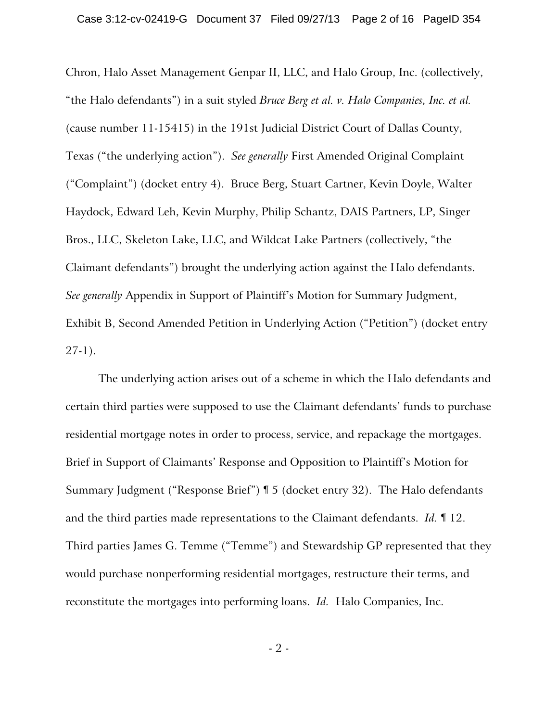Chron, Halo Asset Management Genpar II, LLC, and Halo Group, Inc. (collectively, "the Halo defendants") in a suit styled *Bruce Berg et al. v. Halo Companies, Inc. et al.* (cause number 11-15415) in the 191st Judicial District Court of Dallas County, Texas ("the underlying action"). *See generally* First Amended Original Complaint ("Complaint") (docket entry 4). Bruce Berg, Stuart Cartner, Kevin Doyle, Walter Haydock, Edward Leh, Kevin Murphy, Philip Schantz, DAIS Partners, LP, Singer Bros., LLC, Skeleton Lake, LLC, and Wildcat Lake Partners (collectively, "the Claimant defendants") brought the underlying action against the Halo defendants. *See generally* Appendix in Support of Plaintiff's Motion for Summary Judgment, Exhibit B, Second Amended Petition in Underlying Action ("Petition") (docket entry 27-1).

The underlying action arises out of a scheme in which the Halo defendants and certain third parties were supposed to use the Claimant defendants' funds to purchase residential mortgage notes in order to process, service, and repackage the mortgages. Brief in Support of Claimants' Response and Opposition to Plaintiff's Motion for Summary Judgment ("Response Brief") ¶ 5 (docket entry 32). The Halo defendants and the third parties made representations to the Claimant defendants. *Id.* ¶ 12. Third parties James G. Temme ("Temme") and Stewardship GP represented that they would purchase nonperforming residential mortgages, restructure their terms, and reconstitute the mortgages into performing loans. *Id.* Halo Companies, Inc.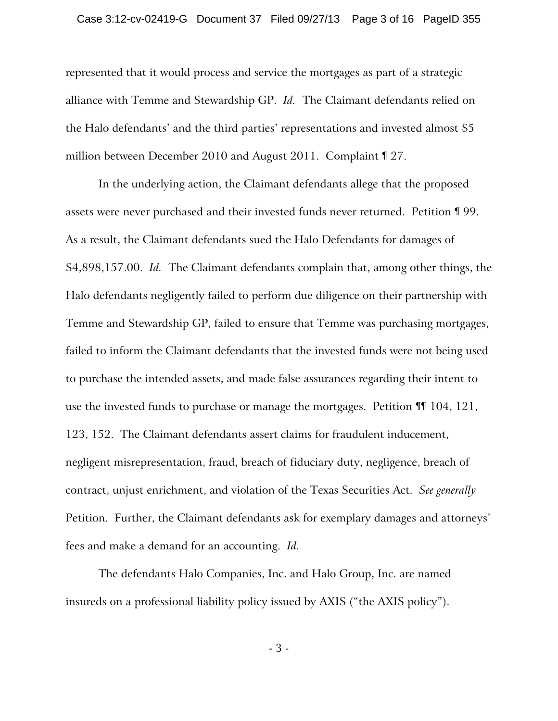#### Case 3:12-cv-02419-G Document 37 Filed 09/27/13 Page 3 of 16 PageID 355

represented that it would process and service the mortgages as part of a strategic alliance with Temme and Stewardship GP. *Id.* The Claimant defendants relied on the Halo defendants' and the third parties' representations and invested almost \$5 million between December 2010 and August 2011. Complaint ¶ 27.

In the underlying action, the Claimant defendants allege that the proposed assets were never purchased and their invested funds never returned. Petition ¶ 99. As a result, the Claimant defendants sued the Halo Defendants for damages of \$4,898,157.00. *Id.* The Claimant defendants complain that, among other things, the Halo defendants negligently failed to perform due diligence on their partnership with Temme and Stewardship GP, failed to ensure that Temme was purchasing mortgages, failed to inform the Claimant defendants that the invested funds were not being used to purchase the intended assets, and made false assurances regarding their intent to use the invested funds to purchase or manage the mortgages. Petition ¶¶ 104, 121, 123, 152. The Claimant defendants assert claims for fraudulent inducement, negligent misrepresentation, fraud, breach of fiduciary duty, negligence, breach of contract, unjust enrichment, and violation of the Texas Securities Act. *See generally* Petition. Further, the Claimant defendants ask for exemplary damages and attorneys' fees and make a demand for an accounting. *Id.*

The defendants Halo Companies, Inc. and Halo Group, Inc. are named insureds on a professional liability policy issued by AXIS ("the AXIS policy").

- 3 -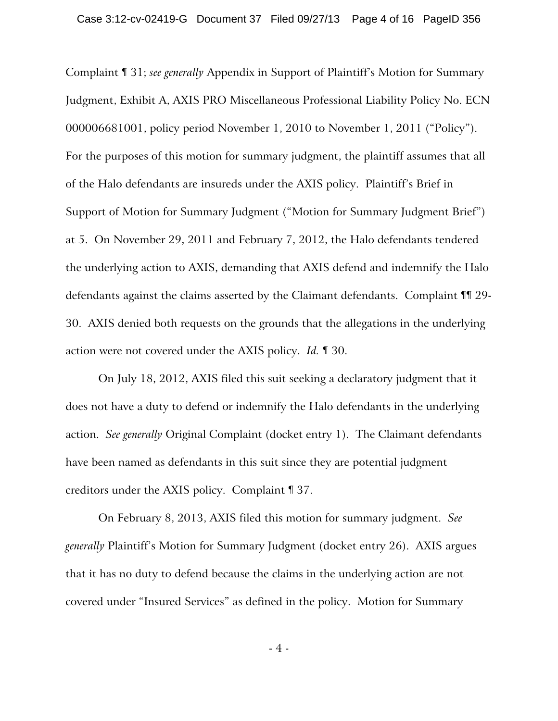Complaint ¶ 31; *see generally* Appendix in Support of Plaintiff's Motion for Summary Judgment, Exhibit A, AXIS PRO Miscellaneous Professional Liability Policy No. ECN 000006681001, policy period November 1, 2010 to November 1, 2011 ("Policy"). For the purposes of this motion for summary judgment, the plaintiff assumes that all of the Halo defendants are insureds under the AXIS policy. Plaintiff's Brief in Support of Motion for Summary Judgment ("Motion for Summary Judgment Brief") at 5. On November 29, 2011 and February 7, 2012, the Halo defendants tendered the underlying action to AXIS, demanding that AXIS defend and indemnify the Halo defendants against the claims asserted by the Claimant defendants. Complaint ¶¶ 29- 30. AXIS denied both requests on the grounds that the allegations in the underlying action were not covered under the AXIS policy. *Id.* ¶ 30.

On July 18, 2012, AXIS filed this suit seeking a declaratory judgment that it does not have a duty to defend or indemnify the Halo defendants in the underlying action. *See generally* Original Complaint (docket entry 1). The Claimant defendants have been named as defendants in this suit since they are potential judgment creditors under the AXIS policy. Complaint ¶ 37.

On February 8, 2013, AXIS filed this motion for summary judgment. *See generally* Plaintiff's Motion for Summary Judgment (docket entry 26). AXIS argues that it has no duty to defend because the claims in the underlying action are not covered under "Insured Services" as defined in the policy. Motion for Summary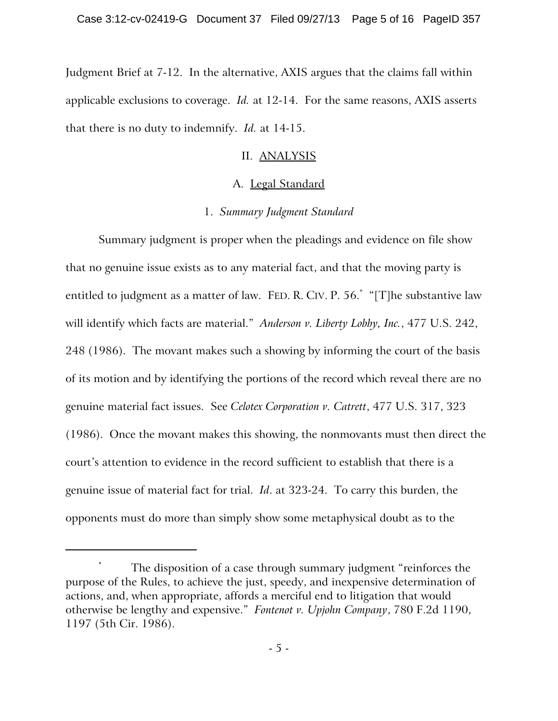Judgment Brief at 7-12. In the alternative, AXIS argues that the claims fall within applicable exclusions to coverage. *Id.* at 12-14. For the same reasons, AXIS asserts that there is no duty to indemnify. *Id.* at 14-15.

# II. ANALYSIS

# A. Legal Standard

# 1. *Summary Judgment Standard*

Summary judgment is proper when the pleadings and evidence on file show that no genuine issue exists as to any material fact, and that the moving party is entitled to judgment as a matter of law. FED. R. CIV. P. 56.\* "[T]he substantive law will identify which facts are material." *Anderson v. Liberty Lobby, Inc.*, 477 U.S. 242, 248 (1986). The movant makes such a showing by informing the court of the basis of its motion and by identifying the portions of the record which reveal there are no genuine material fact issues. See *Celotex Corporation v. Catrett*, 477 U.S. 317, 323 (1986). Once the movant makes this showing, the nonmovants must then direct the court's attention to evidence in the record sufficient to establish that there is a genuine issue of material fact for trial. *Id*. at 323-24. To carry this burden, the opponents must do more than simply show some metaphysical doubt as to the

The disposition of a case through summary judgment "reinforces the purpose of the Rules, to achieve the just, speedy, and inexpensive determination of actions, and, when appropriate, affords a merciful end to litigation that would otherwise be lengthy and expensive." *Fontenot v. Upjohn Company*, 780 F.2d 1190, 1197 (5th Cir. 1986).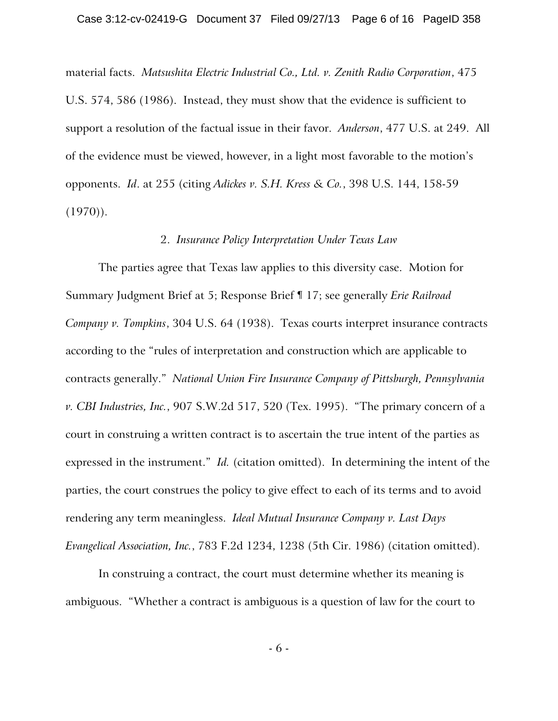material facts. *Matsushita Electric Industrial Co., Ltd. v. Zenith Radio Corporation*, 475 U.S. 574, 586 (1986). Instead, they must show that the evidence is sufficient to support a resolution of the factual issue in their favor. *Anderson*, 477 U.S. at 249. All of the evidence must be viewed, however, in a light most favorable to the motion's opponents. *Id*. at 255 (citing *Adickes v. S.H. Kress & Co.*, 398 U.S. 144, 158-59  $(1970)$ .

#### 2. *Insurance Policy Interpretation Under Texas Law*

The parties agree that Texas law applies to this diversity case. Motion for Summary Judgment Brief at 5; Response Brief ¶ 17; see generally *Erie Railroad Company v. Tompkins*, 304 U.S. 64 (1938). Texas courts interpret insurance contracts according to the "rules of interpretation and construction which are applicable to contracts generally." *National Union Fire Insurance Company of Pittsburgh, Pennsylvania v. CBI Industries, Inc.*, 907 S.W.2d 517, 520 (Tex. 1995). "The primary concern of a court in construing a written contract is to ascertain the true intent of the parties as expressed in the instrument." *Id.* (citation omitted). In determining the intent of the parties, the court construes the policy to give effect to each of its terms and to avoid rendering any term meaningless. *Ideal Mutual Insurance Company v. Last Days Evangelical Association, Inc.*, 783 F.2d 1234, 1238 (5th Cir. 1986) (citation omitted).

In construing a contract, the court must determine whether its meaning is ambiguous. "Whether a contract is ambiguous is a question of law for the court to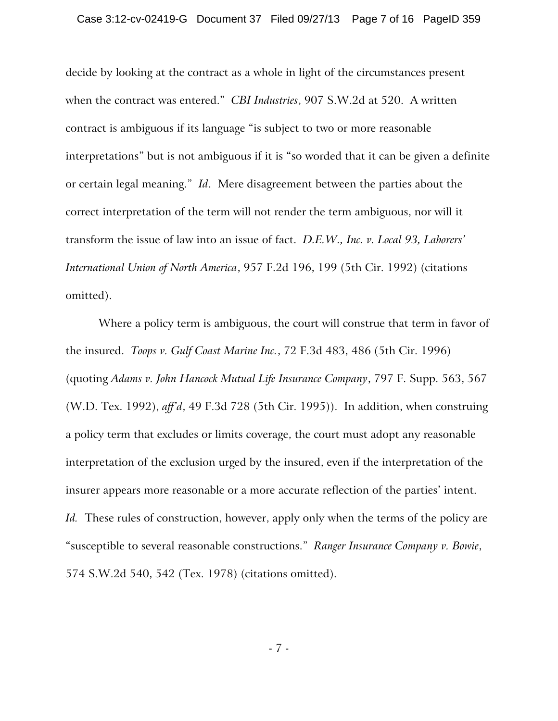decide by looking at the contract as a whole in light of the circumstances present when the contract was entered." *CBI Industries*, 907 S.W.2d at 520. A written contract is ambiguous if its language "is subject to two or more reasonable interpretations" but is not ambiguous if it is "so worded that it can be given a definite or certain legal meaning." *Id*. Mere disagreement between the parties about the correct interpretation of the term will not render the term ambiguous, nor will it transform the issue of law into an issue of fact. *D.E.W., Inc. v. Local 93, Laborers' International Union of North America*, 957 F.2d 196, 199 (5th Cir. 1992) (citations omitted).

Where a policy term is ambiguous, the court will construe that term in favor of the insured. *Toops v. Gulf Coast Marine Inc.*, 72 F.3d 483, 486 (5th Cir. 1996) (quoting *Adams v. John Hancock Mutual Life Insurance Company*, 797 F. Supp. 563, 567 (W.D. Tex. 1992), *aff'd*, 49 F.3d 728 (5th Cir. 1995)). In addition, when construing a policy term that excludes or limits coverage, the court must adopt any reasonable interpretation of the exclusion urged by the insured, even if the interpretation of the insurer appears more reasonable or a more accurate reflection of the parties' intent. *Id.* These rules of construction, however, apply only when the terms of the policy are "susceptible to several reasonable constructions." *Ranger Insurance Company v. Bowie*, 574 S.W.2d 540, 542 (Tex. 1978) (citations omitted).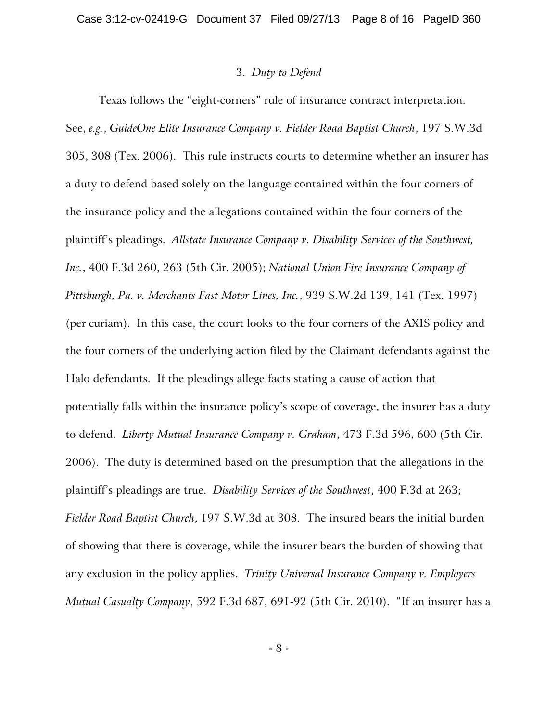### 3. *Duty to Defend*

Texas follows the "eight-corners" rule of insurance contract interpretation. See, *e.g.*, *GuideOne Elite Insurance Company v. Fielder Road Baptist Church*, 197 S.W.3d 305, 308 (Tex. 2006). This rule instructs courts to determine whether an insurer has a duty to defend based solely on the language contained within the four corners of the insurance policy and the allegations contained within the four corners of the plaintiff's pleadings. *Allstate Insurance Company v. Disability Services of the Southwest, Inc.*, 400 F.3d 260, 263 (5th Cir. 2005); *National Union Fire Insurance Company of Pittsburgh, Pa. v. Merchants Fast Motor Lines, Inc.*, 939 S.W.2d 139, 141 (Tex. 1997) (per curiam). In this case, the court looks to the four corners of the AXIS policy and the four corners of the underlying action filed by the Claimant defendants against the Halo defendants. If the pleadings allege facts stating a cause of action that potentially falls within the insurance policy's scope of coverage, the insurer has a duty to defend. *Liberty Mutual Insurance Company v. Graham*, 473 F.3d 596, 600 (5th Cir. 2006). The duty is determined based on the presumption that the allegations in the plaintiff's pleadings are true. *Disability Services of the Southwest*, 400 F.3d at 263; *Fielder Road Baptist Church*, 197 S.W.3d at 308. The insured bears the initial burden of showing that there is coverage, while the insurer bears the burden of showing that any exclusion in the policy applies. *Trinity Universal Insurance Company v. Employers Mutual Casualty Company*, 592 F.3d 687, 691-92 (5th Cir. 2010). "If an insurer has a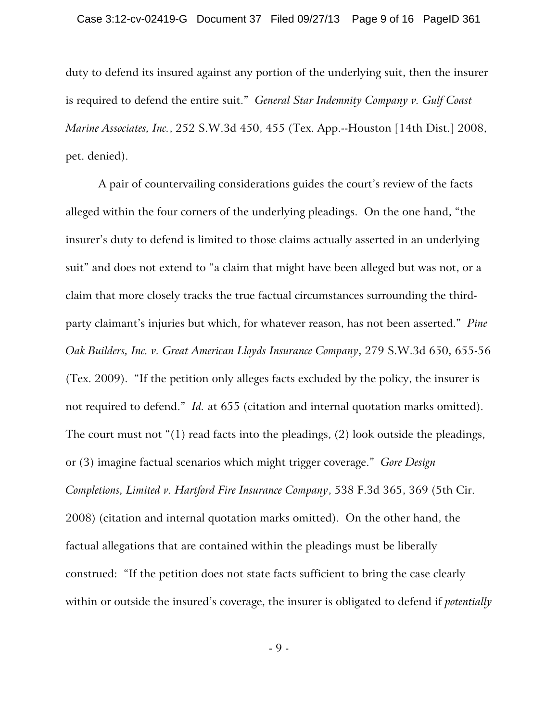duty to defend its insured against any portion of the underlying suit, then the insurer is required to defend the entire suit." *General Star Indemnity Company v. Gulf Coast Marine Associates, Inc.*, 252 S.W.3d 450, 455 (Tex. App.--Houston [14th Dist.] 2008, pet. denied).

A pair of countervailing considerations guides the court's review of the facts alleged within the four corners of the underlying pleadings. On the one hand, "the insurer's duty to defend is limited to those claims actually asserted in an underlying suit" and does not extend to "a claim that might have been alleged but was not, or a claim that more closely tracks the true factual circumstances surrounding the thirdparty claimant's injuries but which, for whatever reason, has not been asserted." *Pine Oak Builders, Inc. v. Great American Lloyds Insurance Company*, 279 S.W.3d 650, 655-56 (Tex. 2009). "If the petition only alleges facts excluded by the policy, the insurer is not required to defend." *Id.* at 655 (citation and internal quotation marks omitted). The court must not "(1) read facts into the pleadings, (2) look outside the pleadings, or (3) imagine factual scenarios which might trigger coverage." *Gore Design Completions, Limited v. Hartford Fire Insurance Company*, 538 F.3d 365, 369 (5th Cir. 2008) (citation and internal quotation marks omitted). On the other hand, the factual allegations that are contained within the pleadings must be liberally construed: "If the petition does not state facts sufficient to bring the case clearly within or outside the insured's coverage, the insurer is obligated to defend if *potentially*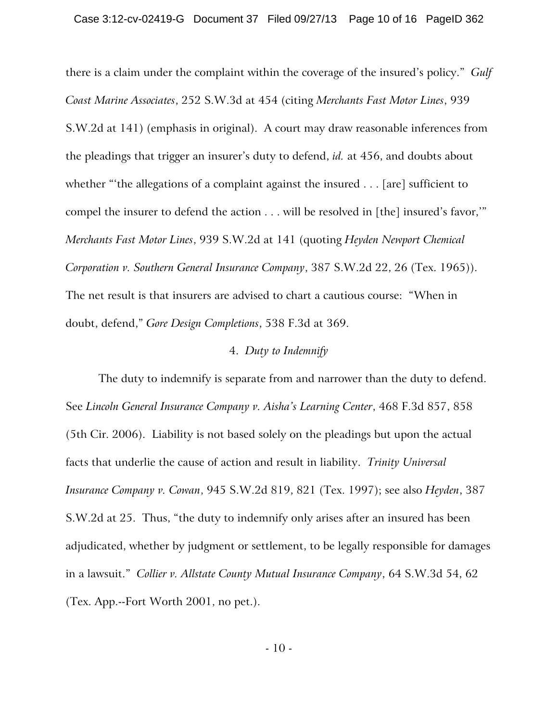there is a claim under the complaint within the coverage of the insured's policy." *Gulf Coast Marine Associates*, 252 S.W.3d at 454 (citing *Merchants Fast Motor Lines*, 939 S.W.2d at 141) (emphasis in original). A court may draw reasonable inferences from the pleadings that trigger an insurer's duty to defend, *id.* at 456, and doubts about whether "'the allegations of a complaint against the insured . . . [are] sufficient to compel the insurer to defend the action . . . will be resolved in [the] insured's favor,'" *Merchants Fast Motor Lines*, 939 S.W.2d at 141 (quoting *Heyden Newport Chemical Corporation v. Southern General Insurance Company*, 387 S.W.2d 22, 26 (Tex. 1965)). The net result is that insurers are advised to chart a cautious course: "When in doubt, defend," *Gore Design Completions*, 538 F.3d at 369.

#### 4. *Duty to Indemnify*

The duty to indemnify is separate from and narrower than the duty to defend. See *Lincoln General Insurance Company v. Aisha's Learning Center*, 468 F.3d 857, 858 (5th Cir. 2006). Liability is not based solely on the pleadings but upon the actual facts that underlie the cause of action and result in liability. *Trinity Universal Insurance Company v. Cowan*, 945 S.W.2d 819, 821 (Tex. 1997); see also *Heyden*, 387 S.W.2d at 25. Thus, "the duty to indemnify only arises after an insured has been adjudicated, whether by judgment or settlement, to be legally responsible for damages in a lawsuit." *Collier v. Allstate County Mutual Insurance Company*, 64 S.W.3d 54, 62 (Tex. App.--Fort Worth 2001, no pet.).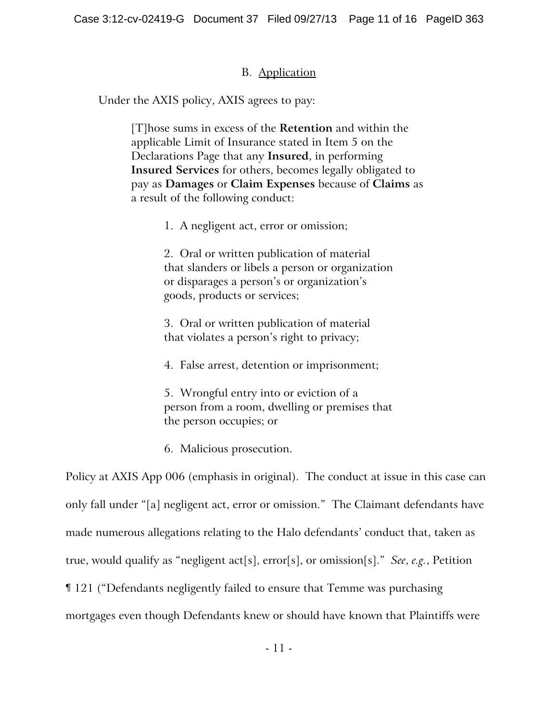## B. Application

Under the AXIS policy, AXIS agrees to pay:

[T]hose sums in excess of the **Retention** and within the applicable Limit of Insurance stated in Item 5 on the Declarations Page that any **Insured**, in performing **Insured Services** for others, becomes legally obligated to pay as **Damages** or **Claim Expenses** because of **Claims** as a result of the following conduct:

1. A negligent act, error or omission;

2. Oral or written publication of material that slanders or libels a person or organization or disparages a person's or organization's goods, products or services;

3. Oral or written publication of material that violates a person's right to privacy;

4. False arrest, detention or imprisonment;

5. Wrongful entry into or eviction of a person from a room, dwelling or premises that the person occupies; or

6. Malicious prosecution.

Policy at AXIS App 006 (emphasis in original). The conduct at issue in this case can only fall under "[a] negligent act, error or omission." The Claimant defendants have made numerous allegations relating to the Halo defendants' conduct that, taken as true, would qualify as "negligent act[s], error[s], or omission[s]." *See*, *e.g.*, Petition ¶ 121 ("Defendants negligently failed to ensure that Temme was purchasing mortgages even though Defendants knew or should have known that Plaintiffs were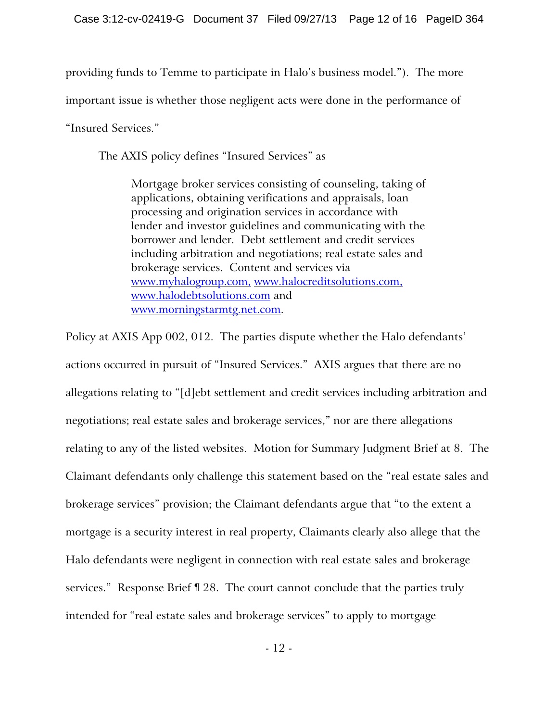providing funds to Temme to participate in Halo's business model."). The more

important issue is whether those negligent acts were done in the performance of

"Insured Services."

The AXIS policy defines "Insured Services" as

Mortgage broker services consisting of counseling, taking of applications, obtaining verifications and appraisals, loan processing and origination services in accordance with lender and investor guidelines and communicating with the borrower and lender. Debt settlement and credit services including arbitration and negotiations; real estate sales and brokerage services. Content and services via www.myhalogroup.com, www.halocreditsolutions.com, www.halodebtsolutions.com and www.morningstarmtg.net.com.

Policy at AXIS App 002, 012. The parties dispute whether the Halo defendants' actions occurred in pursuit of "Insured Services." AXIS argues that there are no allegations relating to "[d]ebt settlement and credit services including arbitration and negotiations; real estate sales and brokerage services," nor are there allegations relating to any of the listed websites. Motion for Summary Judgment Brief at 8. The Claimant defendants only challenge this statement based on the "real estate sales and brokerage services" provision; the Claimant defendants argue that "to the extent a mortgage is a security interest in real property, Claimants clearly also allege that the Halo defendants were negligent in connection with real estate sales and brokerage services." Response Brief ¶ 28. The court cannot conclude that the parties truly intended for "real estate sales and brokerage services" to apply to mortgage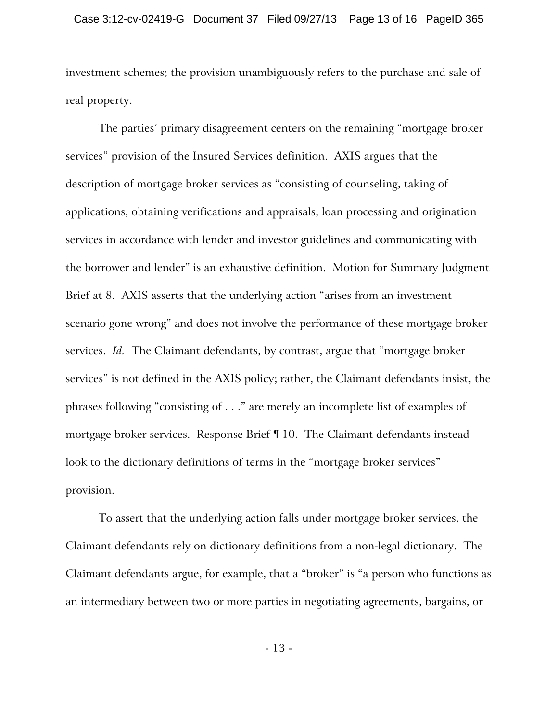investment schemes; the provision unambiguously refers to the purchase and sale of real property.

The parties' primary disagreement centers on the remaining "mortgage broker services" provision of the Insured Services definition. AXIS argues that the description of mortgage broker services as "consisting of counseling, taking of applications, obtaining verifications and appraisals, loan processing and origination services in accordance with lender and investor guidelines and communicating with the borrower and lender" is an exhaustive definition. Motion for Summary Judgment Brief at 8. AXIS asserts that the underlying action "arises from an investment scenario gone wrong" and does not involve the performance of these mortgage broker services. *Id.* The Claimant defendants, by contrast, argue that "mortgage broker services" is not defined in the AXIS policy; rather, the Claimant defendants insist, the phrases following "consisting of . . ." are merely an incomplete list of examples of mortgage broker services. Response Brief ¶ 10. The Claimant defendants instead look to the dictionary definitions of terms in the "mortgage broker services" provision.

To assert that the underlying action falls under mortgage broker services, the Claimant defendants rely on dictionary definitions from a non-legal dictionary. The Claimant defendants argue, for example, that a "broker" is "a person who functions as an intermediary between two or more parties in negotiating agreements, bargains, or

- 13 -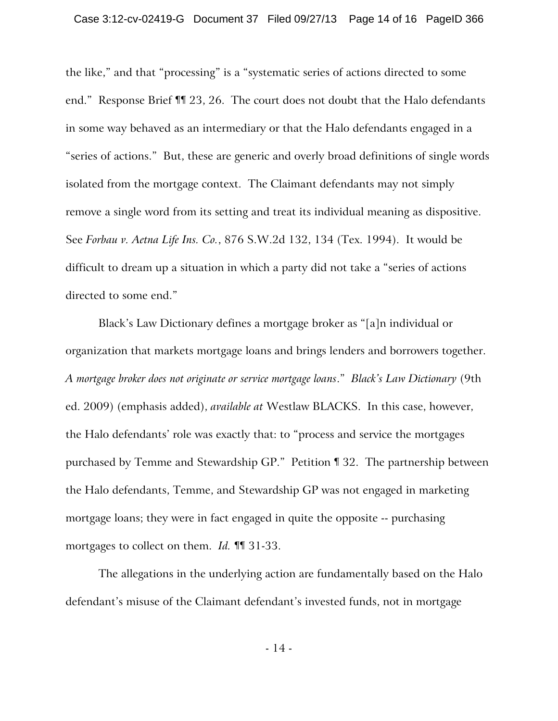the like," and that "processing" is a "systematic series of actions directed to some end." Response Brief ¶¶ 23, 26. The court does not doubt that the Halo defendants in some way behaved as an intermediary or that the Halo defendants engaged in a "series of actions." But, these are generic and overly broad definitions of single words isolated from the mortgage context. The Claimant defendants may not simply remove a single word from its setting and treat its individual meaning as dispositive. See *Forbau v. Aetna Life Ins. Co.*, 876 S.W.2d 132, 134 (Tex. 1994). It would be difficult to dream up a situation in which a party did not take a "series of actions directed to some end."

Black's Law Dictionary defines a mortgage broker as "[a]n individual or organization that markets mortgage loans and brings lenders and borrowers together. *A mortgage broker does not originate or service mortgage loans*." *Black's Law Dictionary* (9th ed. 2009) (emphasis added), *available at* Westlaw BLACKS. In this case, however, the Halo defendants' role was exactly that: to "process and service the mortgages purchased by Temme and Stewardship GP." Petition ¶ 32. The partnership between the Halo defendants, Temme, and Stewardship GP was not engaged in marketing mortgage loans; they were in fact engaged in quite the opposite -- purchasing mortgages to collect on them. *Id.* ¶¶ 31-33.

The allegations in the underlying action are fundamentally based on the Halo defendant's misuse of the Claimant defendant's invested funds, not in mortgage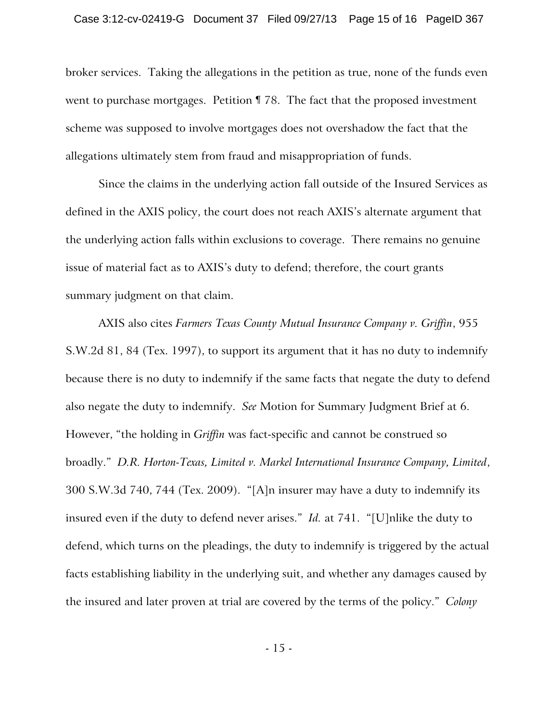broker services. Taking the allegations in the petition as true, none of the funds even went to purchase mortgages. Petition ¶ 78. The fact that the proposed investment scheme was supposed to involve mortgages does not overshadow the fact that the allegations ultimately stem from fraud and misappropriation of funds.

Since the claims in the underlying action fall outside of the Insured Services as defined in the AXIS policy, the court does not reach AXIS's alternate argument that the underlying action falls within exclusions to coverage. There remains no genuine issue of material fact as to AXIS's duty to defend; therefore, the court grants summary judgment on that claim.

AXIS also cites *Farmers Texas County Mutual Insurance Company v. Griffin*, 955 S.W.2d 81, 84 (Tex. 1997), to support its argument that it has no duty to indemnify because there is no duty to indemnify if the same facts that negate the duty to defend also negate the duty to indemnify. *See* Motion for Summary Judgment Brief at 6. However, "the holding in *Griffin* was fact-specific and cannot be construed so broadly." *D.R. Horton-Texas, Limited v. Markel International Insurance Company, Limited*, 300 S.W.3d 740, 744 (Tex. 2009). "[A]n insurer may have a duty to indemnify its insured even if the duty to defend never arises." *Id.* at 741. "[U]nlike the duty to defend, which turns on the pleadings, the duty to indemnify is triggered by the actual facts establishing liability in the underlying suit, and whether any damages caused by the insured and later proven at trial are covered by the terms of the policy." *Colony*